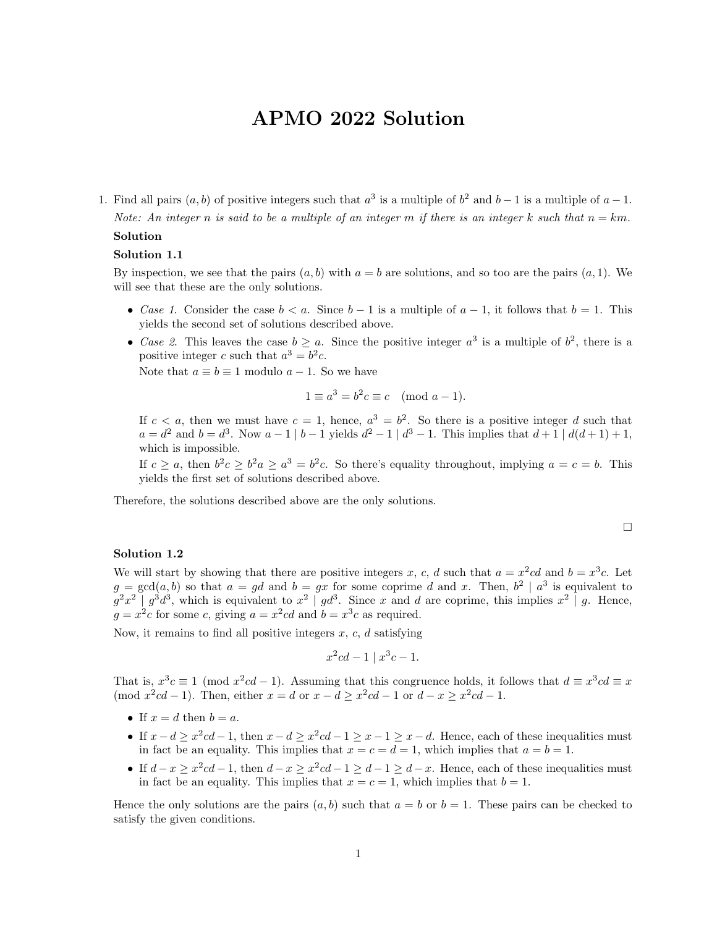# APMO 2022 Solution

1. Find all pairs  $(a, b)$  of positive integers such that  $a^3$  is a multiple of  $b^2$  and  $b-1$  is a multiple of  $a-1$ . Note: An integer n is said to be a multiple of an integer m if there is an integer k such that  $n = km$ .

# Solution

# Solution 1.1

By inspection, we see that the pairs  $(a, b)$  with  $a = b$  are solutions, and so too are the pairs  $(a, 1)$ . We will see that these are the only solutions.

- Case 1. Consider the case  $b < a$ . Since  $b 1$  is a multiple of  $a 1$ , it follows that  $b = 1$ . This yields the second set of solutions described above.
- Case 2. This leaves the case  $b \ge a$ . Since the positive integer  $a^3$  is a multiple of  $b^2$ , there is a positive integer c such that  $a^3 = b^2c$ .

Note that  $a \equiv b \equiv 1$  modulo  $a - 1$ . So we have

$$
1 \equiv a^3 = b^2 c \equiv c \pmod{a-1}.
$$

If  $c < a$ , then we must have  $c = 1$ , hence,  $a^3 = b^2$ . So there is a positive integer d such that  $a = d^2$  and  $b = d^3$ . Now  $a - 1 \mid b - 1$  yields  $d^2 - 1 \mid d^3 - 1$ . This implies that  $d + 1 \mid d(d + 1) + 1$ , which is impossible.

If  $c \ge a$ , then  $b^2c \ge b^2a \ge a^3 = b^2c$ . So there's equality throughout, implying  $a = c = b$ . This yields the first set of solutions described above.

Therefore, the solutions described above are the only solutions.

$$
\Box
$$

#### Solution 1.2

We will start by showing that there are positive integers x, c, d such that  $a = x^2cd$  and  $b = x^3c$ . Let  $g = \gcd(a, b)$  so that  $a = gd$  and  $b = gx$  for some coprime d and x. Then,  $b^2 \mid a^3$  is equivalent to  $g^2x^2 | g^3d^3$ , which is equivalent to  $x^2 | gd^3$ . Since x and d are coprime, this implies  $x^2 | g$ . Hence,  $g = x^2c$  for some c, giving  $a = x^2cd$  and  $b = x^3c$  as required.

Now, it remains to find all positive integers  $x, c, d$  satisfying

$$
x^2cd - 1 | x^3c - 1.
$$

That is,  $x^3c \equiv 1 \pmod{x^2cd-1}$ . Assuming that this congruence holds, it follows that  $d \equiv x^3cd \equiv x$ (mod  $x^2cd-1$ ). Then, either  $x = d$  or  $x - d \ge x^2cd-1$  or  $d - x \ge x^2cd-1$ .

- If  $x = d$  then  $b = a$ .
- If  $x d \ge x^2cd 1$ , then  $x d \ge x^2cd 1 \ge x 1 \ge x d$ . Hence, each of these inequalities must in fact be an equality. This implies that  $x = c = d = 1$ , which implies that  $a = b = 1$ .
- If  $d-x \ge x^2cd-1$ , then  $d-x \ge x^2cd-1 \ge d-1 \ge d-x$ . Hence, each of these inequalities must in fact be an equality. This implies that  $x = c = 1$ , which implies that  $b = 1$ .

Hence the only solutions are the pairs  $(a, b)$  such that  $a = b$  or  $b = 1$ . These pairs can be checked to satisfy the given conditions.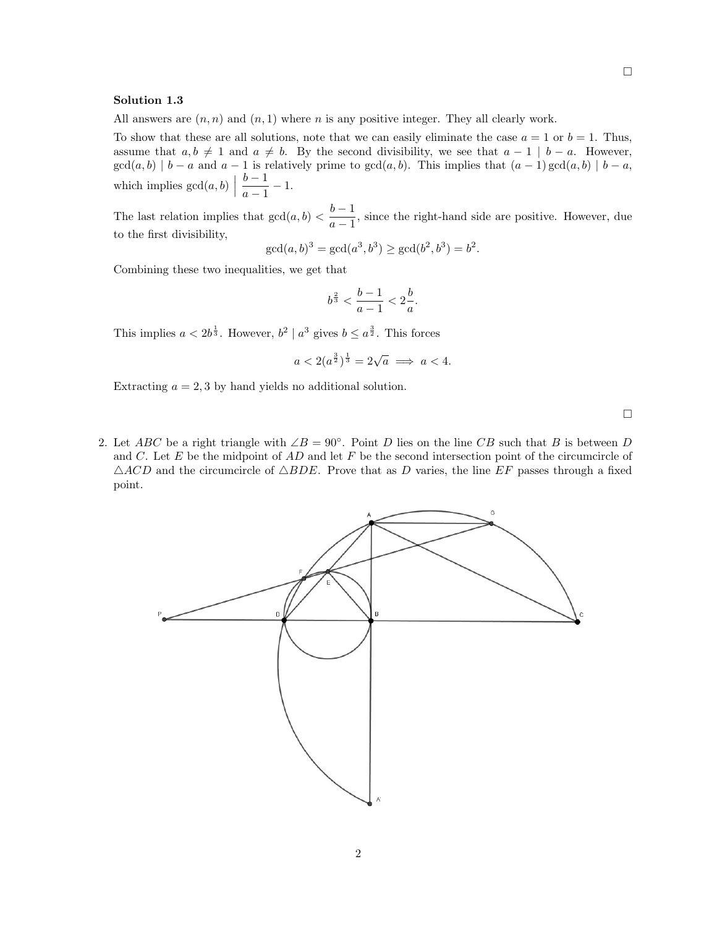#### Solution 1.3

All answers are  $(n, n)$  and  $(n, 1)$  where n is any positive integer. They all clearly work.

To show that these are all solutions, note that we can easily eliminate the case  $a = 1$  or  $b = 1$ . Thus, assume that  $a, b \neq 1$  and  $a \neq b$ . By the second divisibility, we see that  $a - 1 \mid b - a$ . However,  $gcd(a, b) | b - a$  and  $a - 1$  is relatively prime to  $gcd(a, b)$ . This implies that  $(a - 1) gcd(a, b) | b - a$ , which implies  $gcd(a, b)$  $b-1$  $\frac{0}{a-1} - 1.$ 

The last relation implies that  $gcd(a, b) < \frac{b-1}{1}$  $\frac{a}{a-1}$ , since the right-hand side are positive. However, due to the first divisibility,

$$
\gcd(a, b)^3 = \gcd(a^3, b^3) \ge \gcd(b^2, b^3) = b^2.
$$

Combining these two inequalities, we get that

$$
b^{\frac{2}{3}} < \frac{b-1}{a-1} < 2\frac{b}{a}.
$$

This implies  $a < 2b^{\frac{1}{3}}$ . However,  $b^2 \mid a^3$  gives  $b \le a^{\frac{3}{2}}$ . This forces

$$
a < 2(a^{\frac{3}{2}})^{\frac{1}{3}} = 2\sqrt{a} \implies a < 4.
$$

Extracting  $a = 2, 3$  by hand yields no additional solution.

 $\Box$ 

2. Let ABC be a right triangle with  $\angle B = 90^\circ$ . Point D lies on the line CB such that B is between D and  $C$ . Let  $E$  be the midpoint of  $AD$  and let  $F$  be the second intersection point of the circumcircle of  $\triangle ACD$  and the circumcircle of  $\triangle BDE$ . Prove that as D varies, the line EF passes through a fixed point.

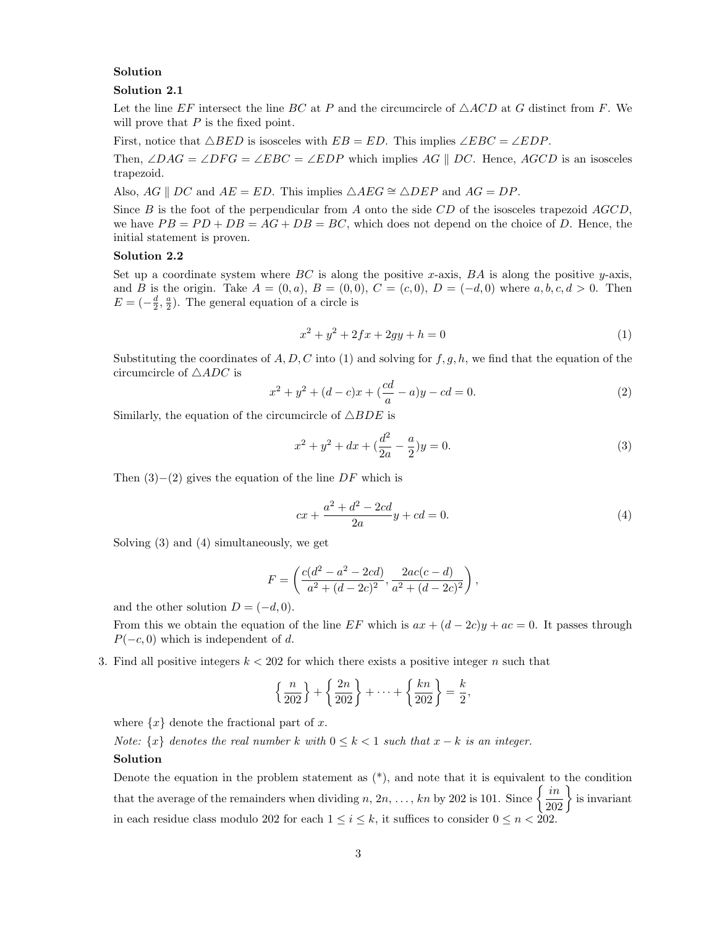# Solution

### Solution 2.1

Let the line EF intersect the line BC at P and the circumcircle of  $\triangle ACD$  at G distinct from F. We will prove that  $P$  is the fixed point.

First, notice that  $\triangle BED$  is isosceles with  $EB = ED$ . This implies  $\angle EBC = \angle EDP$ .

Then,  $\angle DAG = \angle DFG = \angle EBC = \angle EDP$  which implies AG || DC. Hence, AGCD is an isosceles trapezoid.

Also,  $AG \parallel DC$  and  $AE = ED$ . This implies  $\triangle AEG \cong \triangle DEP$  and  $AG = DP$ .

Since  $B$  is the foot of the perpendicular from  $A$  onto the side  $CD$  of the isosceles trapezoid  $AGCD$ , we have  $PB = PD + DB = AG + DB = BC$ , which does not depend on the choice of D. Hence, the initial statement is proven.

#### Solution 2.2

Set up a coordinate system where BC is along the positive x-axis, BA is along the positive y-axis, and B is the origin. Take  $A = (0, a), B = (0, 0), C = (c, 0), D = (-d, 0)$  where  $a, b, c, d > 0$ . Then  $E = \left(-\frac{d}{2}, \frac{a}{2}\right)$ . The general equation of a circle is

$$
x^2 + y^2 + 2fx + 2gy + h = 0
$$
\n(1)

Substituting the coordinates of  $A, D, C$  into (1) and solving for  $f, g, h$ , we find that the equation of the circumcircle of  $\triangle ADC$  is

$$
x^{2} + y^{2} + (d - c)x + \left(\frac{cd}{a} - a\right)y - cd = 0.
$$
 (2)

Similarly, the equation of the circumcircle of  $\triangle BDE$  is

$$
x^{2} + y^{2} + dx + \left(\frac{d^{2}}{2a} - \frac{a}{2}\right)y = 0.
$$
\n(3)

Then  $(3)–(2)$  gives the equation of the line DF which is

$$
cx + \frac{a^2 + d^2 - 2cd}{2a}y + cd = 0.
$$
 (4)

Solving (3) and (4) simultaneously, we get

$$
F = \left(\frac{c(d^2 - a^2 - 2cd)}{a^2 + (d - 2c)^2}, \frac{2ac(c - d)}{a^2 + (d - 2c)^2}\right),\,
$$

and the other solution  $D = (-d, 0)$ .

From this we obtain the equation of the line EF which is  $ax + (d - 2c)y + ac = 0$ . It passes through  $P(-c, 0)$  which is independent of d.

3. Find all positive integers  $k < 202$  for which there exists a positive integer n such that

$$
\left\{\frac{n}{202}\right\} + \left\{\frac{2n}{202}\right\} + \dots + \left\{\frac{kn}{202}\right\} = \frac{k}{2},
$$

where  $\{x\}$  denote the fractional part of x.

Note:  $\{x\}$  denotes the real number k with  $0 \leq k < 1$  such that  $x - k$  is an integer.

#### Solution

Denote the equation in the problem statement as  $(*)$ , and note that it is equivalent to the condition that the average of the remainders when dividing  $n, 2n, ..., kn$  by 202 is 101. Since  $\left\{\frac{in}{202}\right\}$  is invariant in each residue class modulo 202 for each  $1 \leq i \leq k$ , it suffices to consider  $0 \leq n < 202$ .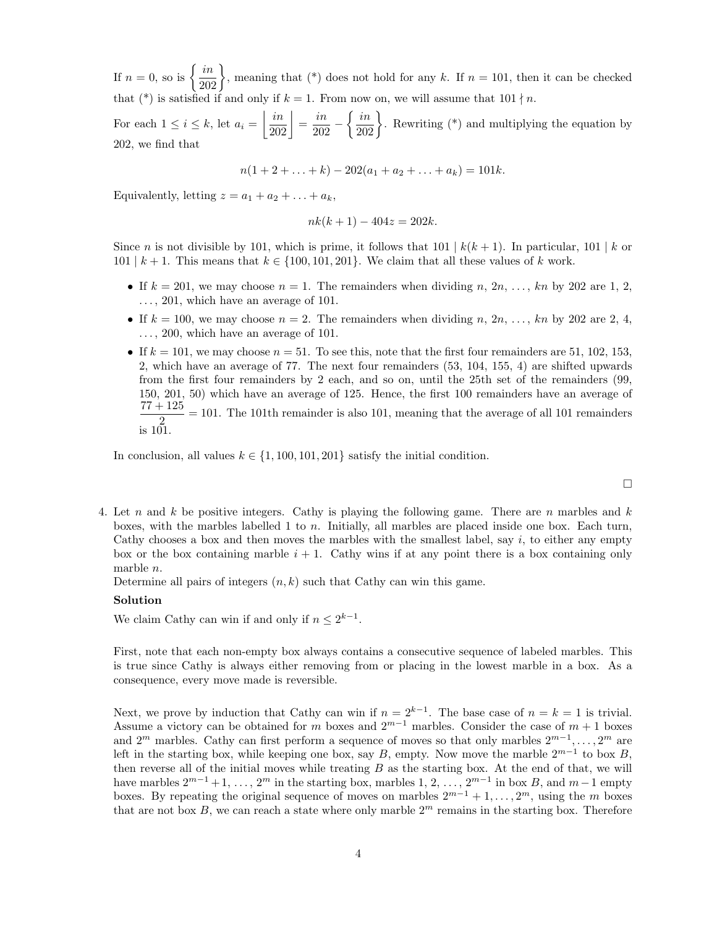If  $n = 0$ , so is  $\left\{\frac{in}{202}\right\}$ , meaning that (\*) does not hold for any k. If  $n = 101$ , then it can be checked that (\*) is satisfied if and only if  $k = 1$ . From now on, we will assume that  $101 \nmid n$ .

For each  $1 \leq i \leq k$ , let  $a_i = \left| \frac{in}{202} \right| = \frac{in}{202}$  $rac{in}{202} - \left\{ \frac{in}{202} \right\}$ . Rewriting (\*) and multiplying the equation by 202, we find that

$$
n(1+2+\ldots+k)-202(a_1+a_2+\ldots+a_k)=101k.
$$

Equivalently, letting  $z = a_1 + a_2 + \ldots + a_k$ ,

$$
nk(k+1) - 404z = 202k.
$$

Since n is not divisible by 101, which is prime, it follows that  $101 \mid k(k+1)$ . In particular,  $101 \mid k$  or 101 | k + 1. This means that  $k \in \{100, 101, 201\}$ . We claim that all these values of k work.

- If  $k = 201$ , we may choose  $n = 1$ . The remainders when dividing n,  $2n, \ldots, kn$  by 202 are 1, 2,  $\ldots$ , 201, which have an average of 101.
- If  $k = 100$ , we may choose  $n = 2$ . The remainders when dividing n,  $2n, \ldots, kn$  by 202 are 2, 4,  $\ldots$ , 200, which have an average of 101.
- If  $k = 101$ , we may choose  $n = 51$ . To see this, note that the first four remainders are 51, 102, 153, 2, which have an average of 77. The next four remainders (53, 104, 155, 4) are shifted upwards from the first four remainders by 2 each, and so on, until the 25th set of the remainders (99, 150, 201, 50) which have an average of 125. Hence, the first 100 remainders have an average of  $77 + 125$  $\frac{120}{2}$  = 101. The 101th remainder is also 101, meaning that the average of all 101 remainders is 101.

In conclusion, all values  $k \in \{1, 100, 101, 201\}$  satisfy the initial condition.

 $\Box$ 

4. Let n and k be positive integers. Cathy is playing the following game. There are n marbles and k boxes, with the marbles labelled 1 to n. Initially, all marbles are placed inside one box. Each turn, Cathy chooses a box and then moves the marbles with the smallest label, say  $i$ , to either any empty box or the box containing marble  $i + 1$ . Cathy wins if at any point there is a box containing only marble n.

Determine all pairs of integers  $(n, k)$  such that Cathy can win this game.

#### Solution

We claim Cathy can win if and only if  $n \leq 2^{k-1}$ .

First, note that each non-empty box always contains a consecutive sequence of labeled marbles. This is true since Cathy is always either removing from or placing in the lowest marble in a box. As a consequence, every move made is reversible.

Next, we prove by induction that Cathy can win if  $n = 2^{k-1}$ . The base case of  $n = k = 1$  is trivial. Assume a victory can be obtained for m boxes and  $2^{m-1}$  marbles. Consider the case of  $m + 1$  boxes and  $2^m$  marbles. Cathy can first perform a sequence of moves so that only marbles  $2^{m-1}, \ldots, 2^m$  are left in the starting box, while keeping one box, say B, empty. Now move the marble  $2^{m-1}$  to box B, then reverse all of the initial moves while treating  $B$  as the starting box. At the end of that, we will have marbles  $2^{m-1}+1, \ldots, 2^m$  in the starting box, marbles  $1, 2, \ldots, 2^{m-1}$  in box B, and  $m-1$  empty boxes. By repeating the original sequence of moves on marbles  $2^{m-1} + 1, \ldots, 2^m$ , using the m boxes that are not box  $B$ , we can reach a state where only marble  $2<sup>m</sup>$  remains in the starting box. Therefore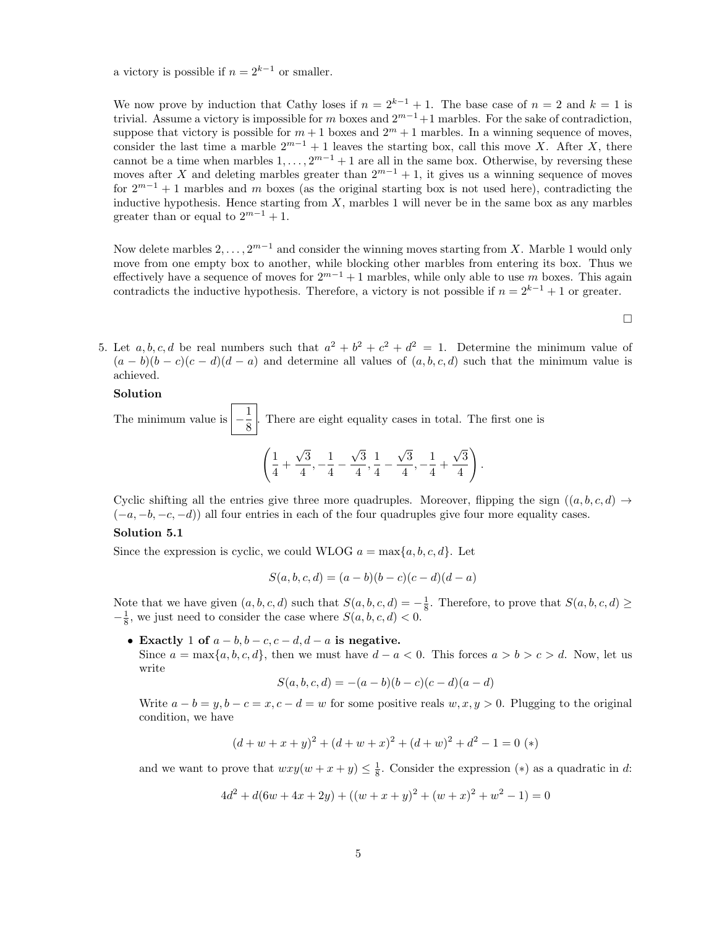a victory is possible if  $n = 2^{k-1}$  or smaller.

We now prove by induction that Cathy loses if  $n = 2^{k-1} + 1$ . The base case of  $n = 2$  and  $k = 1$  is trivial. Assume a victory is impossible for m boxes and  $2^{m-1}+1$  marbles. For the sake of contradiction, suppose that victory is possible for  $m + 1$  boxes and  $2<sup>m</sup> + 1$  marbles. In a winning sequence of moves, consider the last time a marble  $2^{m-1} + 1$  leaves the starting box, call this move X. After X, there cannot be a time when marbles  $1, \ldots, 2^{m-1} + 1$  are all in the same box. Otherwise, by reversing these moves after X and deleting marbles greater than  $2^{m-1} + 1$ , it gives us a winning sequence of moves for  $2^{m-1} + 1$  marbles and m boxes (as the original starting box is not used here), contradicting the inductive hypothesis. Hence starting from  $X$ , marbles 1 will never be in the same box as any marbles greater than or equal to  $2^{m-1} + 1$ .

Now delete marbles  $2, \ldots, 2^{m-1}$  and consider the winning moves starting from X. Marble 1 would only move from one empty box to another, while blocking other marbles from entering its box. Thus we effectively have a sequence of moves for  $2^{m-1} + 1$  marbles, while only able to use m boxes. This again contradicts the inductive hypothesis. Therefore, a victory is not possible if  $n = 2^{k-1} + 1$  or greater.

 $\Box$ 

5. Let a, b, c, d be real numbers such that  $a^2 + b^2 + c^2 + d^2 = 1$ . Determine the minimum value of  $(a - b)(b - c)(c - d)(d - a)$  and determine all values of  $(a, b, c, d)$  such that the minimum value is achieved.

#### Solution

The minimum value is  $\left|-\frac{1}{2}\right|$  $\frac{1}{8}$ . There are eight equality cases in total. The first one is  $\sqrt{1}$  $\frac{1}{4}$  + √ 3  $\frac{\sqrt{3}}{4}, -\frac{1}{4}$  $\frac{1}{4}$  – √ 3  $\frac{\sqrt{3}}{4}, \frac{1}{4}$  $\frac{1}{4}$  – √ 3  $\frac{\sqrt{3}}{4}, -\frac{1}{4}$  $\frac{1}{4}$  + √ 3 4  $\setminus$ .

Cyclic shifting all the entries give three more quadruples. Moreover, flipping the sign  $((a, b, c, d) \rightarrow$  $(-a, -b, -c, -d)$ ) all four entries in each of the four quadruples give four more equality cases.

## Solution 5.1

Since the expression is cyclic, we could WLOG  $a = \max\{a, b, c, d\}$ . Let

$$
S(a, b, c, d) = (a - b)(b - c)(c - d)(d - a)
$$

Note that we have given  $(a, b, c, d)$  such that  $S(a, b, c, d) = -\frac{1}{8}$ . Therefore, to prove that  $S(a, b, c, d) \ge$  $-\frac{1}{8}$ , we just need to consider the case where  $S(a, b, c, d) < 0$ .

• Exactly 1 of  $a - b$ ,  $b - c$ ,  $c - d$ ,  $d - a$  is negative.

Since  $a = \max\{a, b, c, d\}$ , then we must have  $d - a < 0$ . This forces  $a > b > c > d$ . Now, let us write

$$
S(a, b, c, d) = -(a - b)(b - c)(c - d)(a - d)
$$

Write  $a - b = y, b - c = x, c - d = w$  for some positive reals  $w, x, y > 0$ . Plugging to the original condition, we have

$$
(d + w + x + y)2 + (d + w + x)2 + (d + w)2 + d2 - 1 = 0 (*)
$$

and we want to prove that  $wxy(w+x+y) \leq \frac{1}{8}$ . Consider the expression (\*) as a quadratic in d:

$$
4d2 + d(6w + 4x + 2y) + ((w + x + y)2 + (w + x)2 + w2 - 1) = 0
$$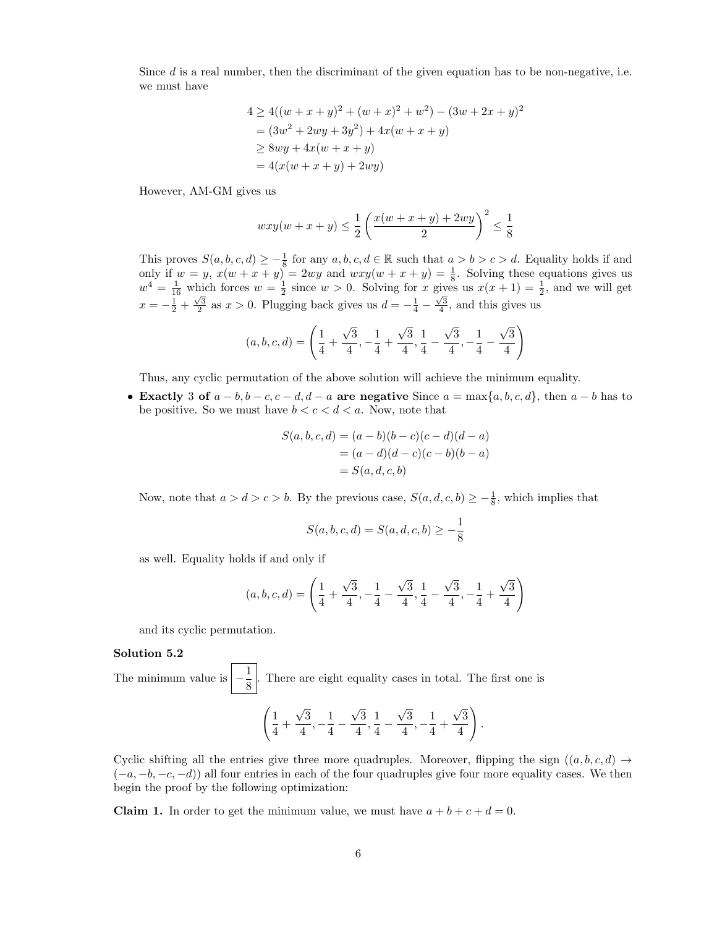Since  $d$  is a real number, then the discriminant of the given equation has to be non-negative, i.e. we must have

$$
4 \ge 4((w+x+y)^2 + (w+x)^2 + w^2) - (3w+2x+y)^2
$$
  
=  $(3w^2 + 2wy + 3y^2) + 4x(w+x+y)$   
 $\ge 8wy + 4x(w+x+y)$   
=  $4(x(w+x+y) + 2wy)$ 

However, AM-GM gives us

$$
wxy(w + x + y) \le \frac{1}{2} \left( \frac{x(w + x + y) + 2wy}{2} \right)^2 \le \frac{1}{8}
$$

This proves  $S(a, b, c, d) \geq -\frac{1}{8}$  for any  $a, b, c, d \in \mathbb{R}$  such that  $a > b > c > d$ . Equality holds if and only if  $w = y$ ,  $x(w + x + y) = 2wy$  and  $wxy(w + x + y) = \frac{1}{8}$ . Solving these equations gives us  $w^4 = \frac{1}{16}$  which forces  $w = \frac{1}{2}$  since  $w > 0$ . Solving for x gives us  $x(x + 1) = \frac{1}{2}$ , and we will get  $x = -\frac{1}{2} + \frac{\sqrt{3}}{2}$  as  $x > 0$ . Plugging back gives us  $d = -\frac{1}{4} - \frac{\sqrt{3}}{4}$ , and this gives us

$$
(a, b, c, d) = \left(\frac{1}{4} + \frac{\sqrt{3}}{4}, -\frac{1}{4} + \frac{\sqrt{3}}{4}, \frac{1}{4} - \frac{\sqrt{3}}{4}, -\frac{1}{4} - \frac{\sqrt{3}}{4}\right)
$$

Thus, any cyclic permutation of the above solution will achieve the minimum equality.

• Exactly 3 of  $a - b$ ,  $b - c$ ,  $c - d$ ,  $d - a$  are negative Since  $a = \max\{a, b, c, d\}$ , then  $a - b$  has to be positive. So we must have  $b < c < d < a$ . Now, note that

$$
S(a, b, c, d) = (a - b)(b - c)(c - d)(d - a)
$$
  
=  $(a - d)(d - c)(c - b)(b - a)$   
=  $S(a, d, c, b)$ 

Now, note that  $a > d > c > b$ . By the previous case,  $S(a, d, c, b) \geq -\frac{1}{8}$ , which implies that

$$
S(a, b, c, d) = S(a, d, c, b) \ge -\frac{1}{8}
$$

as well. Equality holds if and only if

$$
(a, b, c, d) = \left(\frac{1}{4} + \frac{\sqrt{3}}{4}, -\frac{1}{4} - \frac{\sqrt{3}}{4}, \frac{1}{4} - \frac{\sqrt{3}}{4}, -\frac{1}{4} + \frac{\sqrt{3}}{4}\right)
$$

and its cyclic permutation.

#### Solution 5.2

The minimum value is  $\left|-\frac{1}{2}\right|$  $\frac{1}{8}$ . There are eight equality cases in total. The first one is

$$
\left(\frac{1}{4}+\frac{\sqrt{3}}{4},-\frac{1}{4}-\frac{\sqrt{3}}{4},\frac{1}{4}-\frac{\sqrt{3}}{4},-\frac{1}{4}+\frac{\sqrt{3}}{4}\right).
$$

Cyclic shifting all the entries give three more quadruples. Moreover, flipping the sign  $((a, b, c, d) \rightarrow$  $(-a, -b, -c, -d)$ ) all four entries in each of the four quadruples give four more equality cases. We then begin the proof by the following optimization:

**Claim 1.** In order to get the minimum value, we must have  $a + b + c + d = 0$ .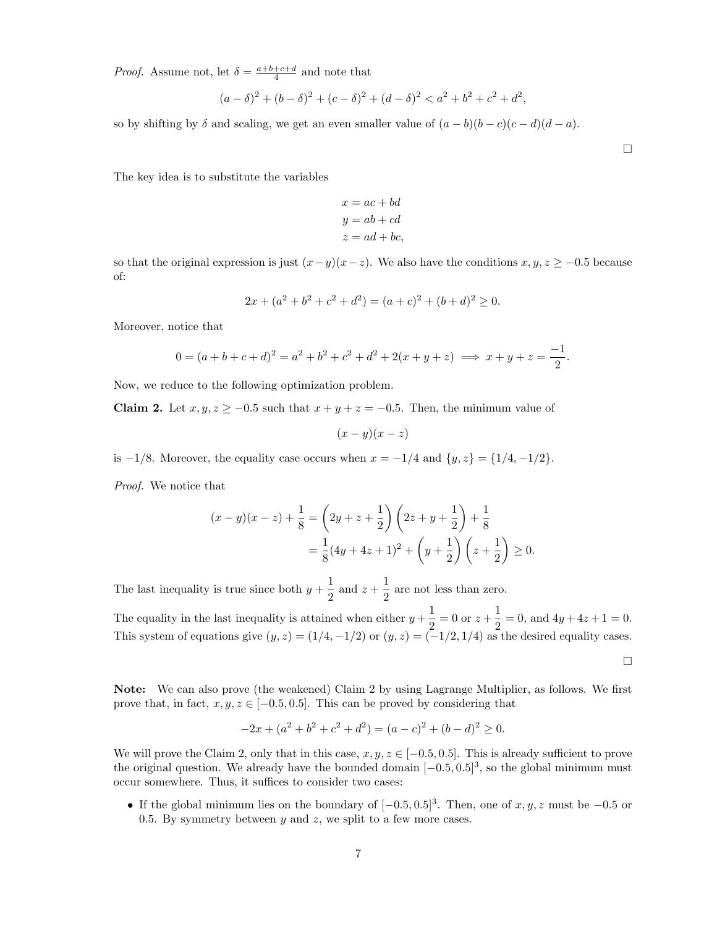*Proof.* Assume not, let  $\delta = \frac{a+b+c+d}{4}$  and note that

$$
(a - \delta)^2 + (b - \delta)^2 + (c - \delta)^2 + (d - \delta)^2 < a^2 + b^2 + c^2 + d^2,
$$

so by shifting by  $\delta$  and scaling, we get an even smaller value of  $(a - b)(b - c)(c - d)(d - a)$ .

The key idea is to substitute the variables

$$
x = ac + bd
$$
  

$$
y = ab + cd
$$
  

$$
z = ad + bc,
$$

so that the original expression is just  $(x-y)(x-z)$ . We also have the conditions  $x, y, z \ge -0.5$  because of:

$$
2x + (a2 + b2 + c2 + d2) = (a + c)2 + (b + d)2 \ge 0.
$$

Moreover, notice that

$$
0 = (a+b+c+d)^2 = a^2 + b^2 + c^2 + d^2 + 2(x+y+z) \implies x+y+z = \frac{-1}{2}.
$$

Now, we reduce to the following optimization problem.

Claim 2. Let  $x, y, z \ge -0.5$  such that  $x + y + z = -0.5$ . Then, the minimum value of

 $(x - y)(x - z)$ 

is  $-1/8$ . Moreover, the equality case occurs when  $x = -1/4$  and  $\{y, z\} = \{1/4, -1/2\}$ .

Proof. We notice that

$$
(x - y)(x - z) + \frac{1}{8} = \left(2y + z + \frac{1}{2}\right)\left(2z + y + \frac{1}{2}\right) + \frac{1}{8}
$$
  
=  $\frac{1}{8}(4y + 4z + 1)^2 + \left(y + \frac{1}{2}\right)\left(z + \frac{1}{2}\right) \ge 0.$ 

The last inequality is true since both  $y + \frac{1}{2}$  $\frac{1}{2}$  and  $z + \frac{1}{2}$  $\frac{1}{2}$  are not less than zero.

The equality in the last inequality is attained when either  $y + \frac{1}{2}$  $\frac{1}{2} = 0$  or  $z + \frac{1}{2}$  $\frac{1}{2} = 0$ , and  $4y + 4z + 1 = 0$ . This system of equations give  $(y, z) = (1/4, -1/2)$  or  $(y, z) = (-1/2, 1/4)$  as the desired equality cases.

 $\Box$ 

Note: We can also prove (the weakened) Claim 2 by using Lagrange Multiplier, as follows. We first prove that, in fact,  $x, y, z \in [-0.5, 0.5]$ . This can be proved by considering that

$$
-2x + (a2 + b2 + c2 + d2) = (a - c)2 + (b - d)2 \ge 0.
$$

We will prove the Claim 2, only that in this case,  $x, y, z \in [-0.5, 0.5]$ . This is already sufficient to prove the original question. We already have the bounded domain  $[-0.5, 0.5]^3$ , so the global minimum must occur somewhere. Thus, it suffices to consider two cases:

• If the global minimum lies on the boundary of  $[-0.5, 0.5]^3$ . Then, one of x, y, z must be  $-0.5$  or 0.5. By symmetry between  $y$  and  $z$ , we split to a few more cases.

 $\Box$